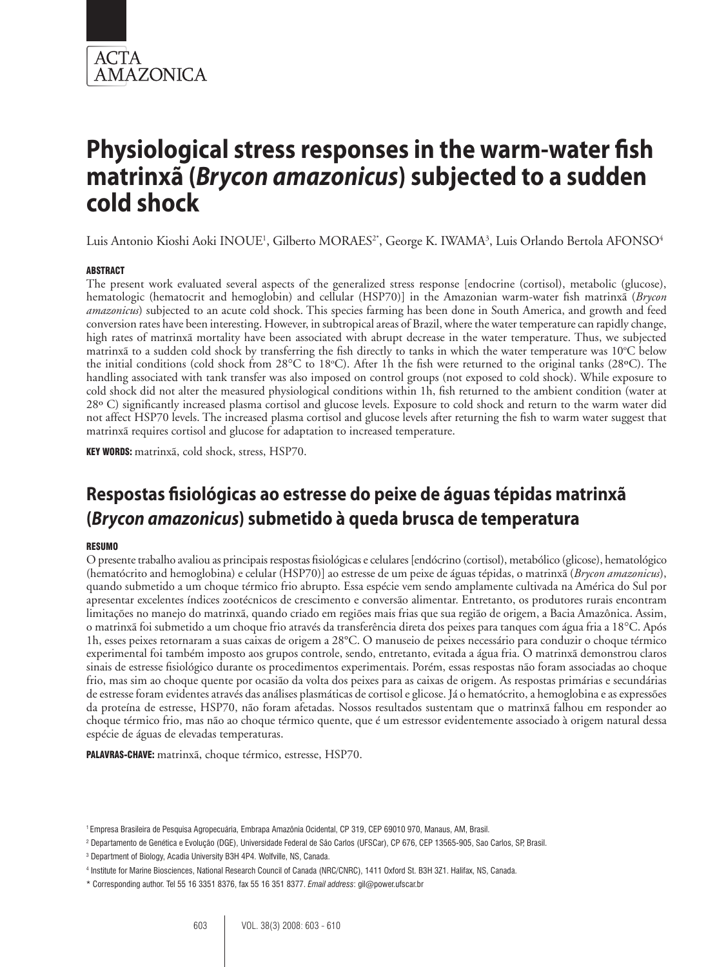

Luis Antonio Kioshi Aoki INOUE<sup>1</sup>, Gilberto MORAES<sup>2\*</sup>, George K. IWAMA<sup>3</sup>, Luis Orlando Bertola AFONSO<sup>4</sup>

## **ABSTRACT**

The present work evaluated several aspects of the generalized stress response [endocrine (cortisol), metabolic (glucose), hematologic (hematocrit and hemoglobin) and cellular (HSP70)] in the Amazonian warm-water fish matrinxã (*Brycon amazonicus*) subjected to an acute cold shock. This species farming has been done in South America, and growth and feed conversion rates have been interesting. However, in subtropical areas of Brazil, where the water temperature can rapidly change, high rates of matrinxã mortality have been associated with abrupt decrease in the water temperature. Thus, we subjected matrinxã to a sudden cold shock by transferring the fish directly to tanks in which the water temperature was  $10^{\circ}$ C below the initial conditions (cold shock from 28°C to 18°C). After 1h the fish were returned to the original tanks (28°C). The handling associated with tank transfer was also imposed on control groups (not exposed to cold shock). While exposure to cold shock did not alter the measured physiological conditions within 1h, fish returned to the ambient condition (water at 28º C) significantly increased plasma cortisol and glucose levels. Exposure to cold shock and return to the warm water did not affect HSP70 levels. The increased plasma cortisol and glucose levels after returning the fish to warm water suggest that matrinxã requires cortisol and glucose for adaptation to increased temperature.

KEY WORDS: matrinxã, cold shock, stress, HSP70.

## **Respostas fisiológicas ao estresse do peixe de águas tépidas matrinxã (***Brycon amazonicus***) submetido à queda brusca de temperatura**

## Resumo

O presente trabalho avaliou as principais respostas fisiológicas e celulares [endócrino (cortisol), metabólico (glicose), hematológico (hematócrito and hemoglobina) e celular (HSP70)] ao estresse de um peixe de águas tépidas, o matrinxã (*Brycon amazonicus*), quando submetido a um choque térmico frio abrupto. Essa espécie vem sendo amplamente cultivada na América do Sul por apresentar excelentes índices zootécnicos de crescimento e conversão alimentar. Entretanto, os produtores rurais encontram limitações no manejo do matrinxã, quando criado em regiões mais frias que sua região de origem, a Bacia Amazônica. Assim, o matrinxã foi submetido a um choque frio através da transferência direta dos peixes para tanques com água fria a 18°C. Após 1h, esses peixes retornaram a suas caixas de origem a 28°C. O manuseio de peixes necessário para conduzir o choque térmico experimental foi também imposto aos grupos controle, sendo, entretanto, evitada a água fria. O matrinxã demonstrou claros sinais de estresse fisiológico durante os procedimentos experimentais. Porém, essas respostas não foram associadas ao choque frio, mas sim ao choque quente por ocasião da volta dos peixes para as caixas de origem. As respostas primárias e secundárias de estresse foram evidentes através das análises plasmáticas de cortisol e glicose. Já o hematócrito, a hemoglobina e as expressões da proteína de estresse, HSP70, não foram afetadas. Nossos resultados sustentam que o matrinxã falhou em responder ao choque térmico frio, mas não ao choque térmico quente, que é um estressor evidentemente associado à origem natural dessa espécie de águas de elevadas temperaturas.

PALAVRAS-CHAVE: matrinxã, choque térmico, estresse, HSP70.

<sup>1</sup> Empresa Brasileira de Pesquisa Agropecuária, Embrapa Amazônia Ocidental, CP 319, CEP 69010 970, Manaus, AM, Brasil.

<sup>2</sup> Departamento de Genética e Evolução (DGE), Universidade Federal de São Carlos (UFSCar), CP 676, CEP 13565-905, Sao Carlos, SP, Brasil.

<sup>3</sup> Department of Biology, Acadia University B3H 4P4. Wolfville, NS, Canada.

<sup>4</sup> Institute for Marine Biosciences, National Research Council of Canada (NRC/CNRC), 1411 Oxford St. B3H 3Z1. Halifax, NS, Canada.

<sup>\*</sup> Corresponding author. Tel 55 16 3351 8376, fax 55 16 351 8377. *Email address*: gil@power.ufscar.br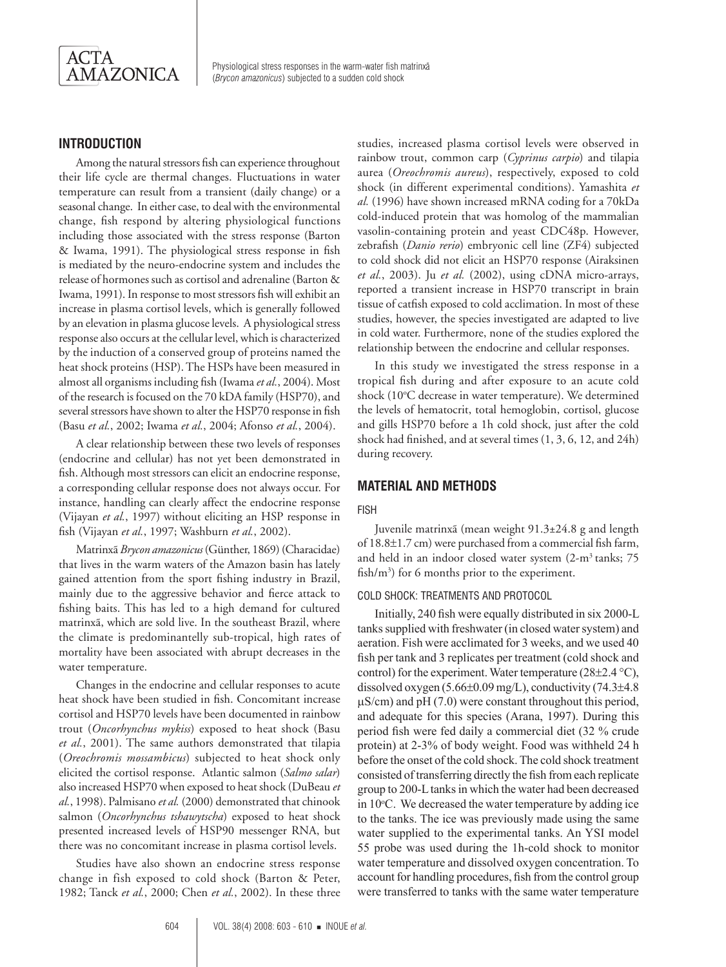

## **Introduction**

Among the natural stressors fish can experience throughout their life cycle are thermal changes. Fluctuations in water temperature can result from a transient (daily change) or a seasonal change. In either case, to deal with the environmental change, fish respond by altering physiological functions including those associated with the stress response (Barton & Iwama, 1991). The physiological stress response in fish is mediated by the neuro-endocrine system and includes the release of hormones such as cortisol and adrenaline (Barton & Iwama, 1991). In response to most stressors fish will exhibit an increase in plasma cortisol levels, which is generally followed by an elevation in plasma glucose levels. A physiological stress response also occurs at the cellular level, which is characterized by the induction of a conserved group of proteins named the heat shock proteins (HSP). The HSPs have been measured in almost all organisms including fish (Iwama *et al.*, 2004). Most of the research is focused on the 70 kDA family (HSP70), and several stressors have shown to alter the HSP70 response in fish (Basu *et al.*, 2002; Iwama *et al.*, 2004; Afonso *et al.*, 2004).

A clear relationship between these two levels of responses (endocrine and cellular) has not yet been demonstrated in fish. Although most stressors can elicit an endocrine response, a corresponding cellular response does not always occur. For instance, handling can clearly affect the endocrine response (Vijayan *et al.*, 1997) without eliciting an HSP response in fish (Vijayan *et al.*, 1997; Washburn *et al.*, 2002).

Matrinxã *Brycon amazonicus* (Günther, 1869) (Characidae) that lives in the warm waters of the Amazon basin has lately gained attention from the sport fishing industry in Brazil, mainly due to the aggressive behavior and fierce attack to fishing baits. This has led to a high demand for cultured matrinxã, which are sold live. In the southeast Brazil, where the climate is predominantelly sub-tropical, high rates of mortality have been associated with abrupt decreases in the water temperature.

Changes in the endocrine and cellular responses to acute heat shock have been studied in fish. Concomitant increase cortisol and HSP70 levels have been documented in rainbow trout (*Oncorhynchus mykiss*) exposed to heat shock (Basu *et al.*, 2001). The same authors demonstrated that tilapia (*Oreochromis mossambicus*) subjected to heat shock only elicited the cortisol response. Atlantic salmon (*Salmo salar*) also increased HSP70 when exposed to heat shock (DuBeau *et al.*, 1998). Palmisano *et al.* (2000) demonstrated that chinook salmon (*Oncorhynchus tshawytscha*) exposed to heat shock presented increased levels of HSP90 messenger RNA, but there was no concomitant increase in plasma cortisol levels.

Studies have also shown an endocrine stress response change in fish exposed to cold shock (Barton & Peter, 1982; Tanck *et al.*, 2000; Chen *et al.*, 2002). In these three studies, increased plasma cortisol levels were observed in rainbow trout, common carp (*Cyprinus carpio*) and tilapia aurea (*Oreochromis aureus*), respectively, exposed to cold shock (in different experimental conditions). Yamashita *et al.* (1996) have shown increased mRNA coding for a 70kDa cold-induced protein that was homolog of the mammalian vasolin-containing protein and yeast CDC48p. However, zebrafish (*Danio rerio*) embryonic cell line (ZF4) subjected to cold shock did not elicit an HSP70 response (Airaksinen *et al.*, 2003). Ju *et al.* (2002), using cDNA micro-arrays, reported a transient increase in HSP70 transcript in brain tissue of catfish exposed to cold acclimation. In most of these studies, however, the species investigated are adapted to live in cold water. Furthermore, none of the studies explored the relationship between the endocrine and cellular responses.

In this study we investigated the stress response in a tropical fish during and after exposure to an acute cold shock (10°C decrease in water temperature). We determined the levels of hematocrit, total hemoglobin, cortisol, glucose and gills HSP70 before a 1h cold shock, just after the cold shock had finished, and at several times (1, 3, 6, 12, and 24h) during recovery.

## **Material and Methods**

#### Fish

Juvenile matrinxã (mean weight 91.3±24.8 g and length of 18.8±1.7 cm) were purchased from a commercial fish farm, and held in an indoor closed water system  $(2-m^3 \tanh s; 75$ fish/ $m<sup>3</sup>$ ) for 6 months prior to the experiment.

#### Cold shock: treatments and protocol

Initially, 240 fish were equally distributed in six 2000-L tanks supplied with freshwater (in closed water system) and aeration. Fish were acclimated for 3 weeks, and we used 40 fish per tank and 3 replicates per treatment (cold shock and control) for the experiment. Water temperature  $(28\pm 2.4 \degree C)$ , dissolved oxygen (5.66±0.09 mg/L), conductivity (74.3±4.8  $\mu$ S/cm) and pH (7.0) were constant throughout this period, and adequate for this species (Arana, 1997). During this period fish were fed daily a commercial diet (32 % crude protein) at 2-3% of body weight. Food was withheld 24 h before the onset of the cold shock. The cold shock treatment consisted of transferring directly the fish from each replicate group to 200-L tanks in which the water had been decreased in  $10^{\circ}$ C. We decreased the water temperature by adding ice to the tanks. The ice was previously made using the same water supplied to the experimental tanks. An YSI model 55 probe was used during the 1h-cold shock to monitor water temperature and dissolved oxygen concentration. To account for handling procedures, fish from the control group were transferred to tanks with the same water temperature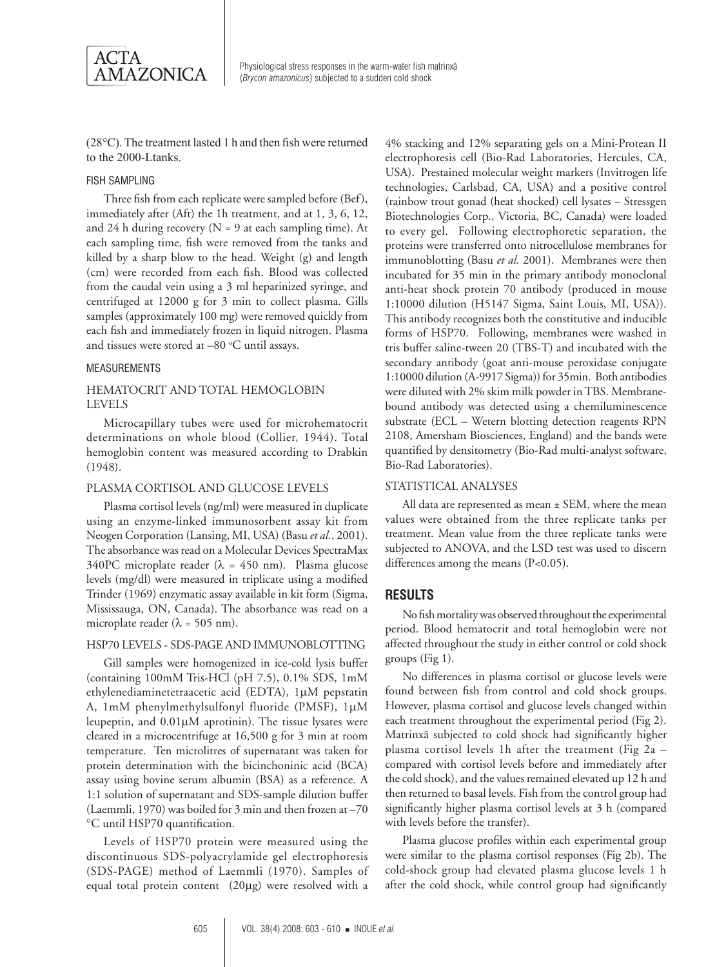

(28°C). The treatment lasted 1 h and then fish were returned to the 2000-Ltanks.

### Fish sampling

Three fish from each replicate were sampled before (Bef), immediately after (Aft) the 1h treatment, and at 1, 3, 6, 12, and 24 h during recovery ( $N = 9$  at each sampling time). At each sampling time, fish were removed from the tanks and killed by a sharp blow to the head. Weight (g) and length (cm) were recorded from each fish. Blood was collected from the caudal vein using a 3 ml heparinized syringe, and centrifuged at 12000 g for 3 min to collect plasma. Gills samples (approximately 100 mg) were removed quickly from each fish and immediately frozen in liquid nitrogen. Plasma and tissues were stored at  $-80$  °C until assays.

#### **MEASUREMENTS**

## Hematocrit and total hemoglobin **LEVELS**

Microcapillary tubes were used for microhematocrit determinations on whole blood (Collier, 1944). Total hemoglobin content was measured according to Drabkin (1948).

### PLASMA CORTISOL AND GLUCOSE LEVELS

Plasma cortisol levels (ng/ml) were measured in duplicate using an enzyme-linked immunosorbent assay kit from Neogen Corporation (Lansing, MI, USA) (Basu *et al.*, 2001). The absorbance was read on a Molecular Devices SpectraMax 340PC microplate reader ( $\lambda$  = 450 nm). Plasma glucose levels (mg/dl) were measured in triplicate using a modified Trinder (1969) enzymatic assay available in kit form (Sigma, Mississauga, ON, Canada). The absorbance was read on a microplate reader ( $\lambda$  = 505 nm).

## HSP70 levels - SDS-PAGE and Immunoblotting

Gill samples were homogenized in ice-cold lysis buffer (containing 100mM Tris-HCl (pH 7.5), 0.1% SDS, 1mM ethylenediaminetetraacetic acid (EDTA), 1µM pepstatin A, 1mM phenylmethylsulfonyl fluoride (PMSF), 1µM leupeptin, and 0.01µM aprotinin). The tissue lysates were cleared in a microcentrifuge at 16,500 g for 3 min at room temperature. Ten microlitres of supernatant was taken for protein determination with the bicinchoninic acid (BCA) assay using bovine serum albumin (BSA) as a reference. A 1:1 solution of supernatant and SDS-sample dilution buffer (Laemmli, 1970) was boiled for 3 min and then frozen at –70 °C until HSP70 quantification.

Levels of HSP70 protein were measured using the discontinuous SDS-polyacrylamide gel electrophoresis (SDS-PAGE) method of Laemmli (1970). Samples of equal total protein content (20µg) were resolved with a

4% stacking and 12% separating gels on a Mini-Protean II electrophoresis cell (Bio-Rad Laboratories, Hercules, CA, USA). Prestained molecular weight markers (Invitrogen life technologies, Carlsbad, CA, USA) and a positive control (rainbow trout gonad (heat shocked) cell lysates – Stressgen Biotechnologies Corp., Victoria, BC, Canada) were loaded to every gel. Following electrophoretic separation, the proteins were transferred onto nitrocellulose membranes for immunoblotting (Basu *et al.* 2001). Membranes were then incubated for 35 min in the primary antibody monoclonal anti-heat shock protein 70 antibody (produced in mouse 1:10000 dilution (H5147 Sigma, Saint Louis, MI, USA)). This antibody recognizes both the constitutive and inducible forms of HSP70. Following, membranes were washed in tris buffer saline-tween 20 (TBS-T) and incubated with the secondary antibody (goat anti-mouse peroxidase conjugate 1:10000 dilution (A-9917 Sigma)) for 35min. Both antibodies were diluted with 2% skim milk powder in TBS. Membranebound antibody was detected using a chemiluminescence substrate (ECL – Wetern blotting detection reagents RPN 2108, Amersham Biosciences, England) and the bands were quantified by densitometry (Bio-Rad multi-analyst software, Bio-Rad Laboratories).

### STATISTICAL ANALYSES

All data are represented as mean  $\pm$  SEM, where the mean values were obtained from the three replicate tanks per treatment. Mean value from the three replicate tanks were subjected to ANOVA, and the LSD test was used to discern differences among the means (P<0.05).

### **Results**

No fish mortality was observed throughout the experimental period. Blood hematocrit and total hemoglobin were not affected throughout the study in either control or cold shock groups (Fig 1).

No differences in plasma cortisol or glucose levels were found between fish from control and cold shock groups. However, plasma cortisol and glucose levels changed within each treatment throughout the experimental period (Fig 2). Matrinxã subjected to cold shock had significantly higher plasma cortisol levels 1h after the treatment (Fig 2a – compared with cortisol levels before and immediately after the cold shock), and the values remained elevated up 12 h and then returned to basal levels. Fish from the control group had significantly higher plasma cortisol levels at 3 h (compared with levels before the transfer).

Plasma glucose profiles within each experimental group were similar to the plasma cortisol responses (Fig 2b). The cold-shock group had elevated plasma glucose levels 1 h after the cold shock, while control group had significantly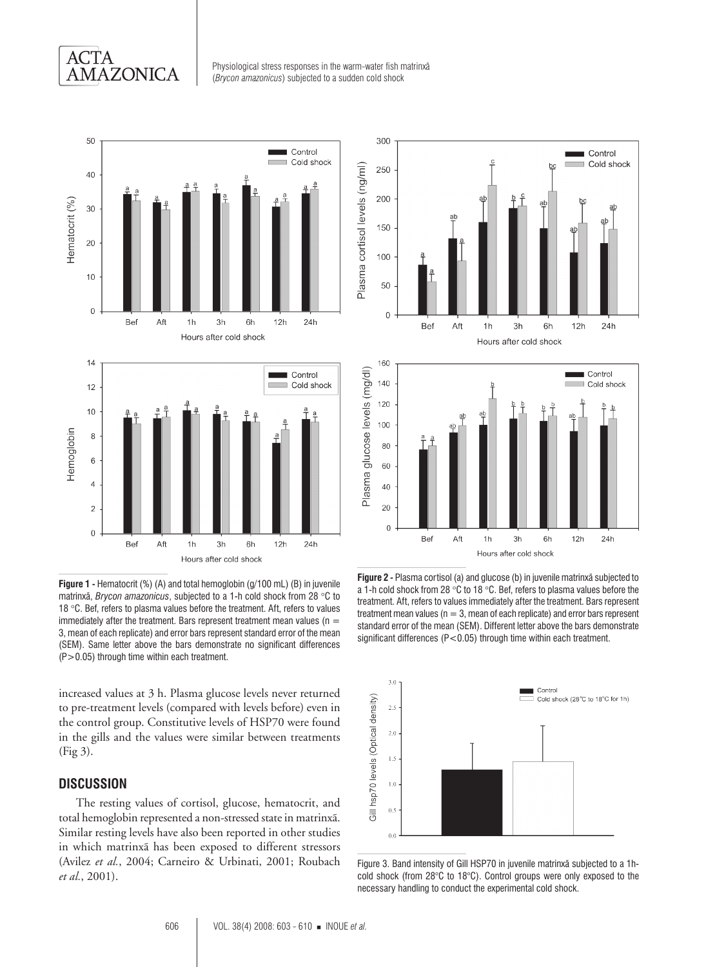## **ACTA AMAZONICA**

Physiological stress responses in the warm-water fish matrinxã (*Brycon amazonicus*) subjected to a sudden cold shock



**Figure 1 -** Hematocrit (%) (A) and total hemoglobin (g/100 mL) (B) in juvenile matrinxã, *Brycon amazonicus*, subjected to a 1-h cold shock from 28 °C to 18 °C. Bef, refers to plasma values before the treatment. Aft, refers to values immediately after the treatment. Bars represent treatment mean values ( $n =$ 3, mean of each replicate) and error bars represent standard error of the mean (SEM). Same letter above the bars demonstrate no significant differences (P>0.05) through time within each treatment.

increased values at 3 h. Plasma glucose levels never returned to pre-treatment levels (compared with levels before) even in the control group. Constitutive levels of HSP70 were found in the gills and the values were similar between treatments (Fig 3).

## **Discussion**

The resting values of cortisol, glucose, hematocrit, and total hemoglobin represented a non-stressed state in matrinxã. Similar resting levels have also been reported in other studies in which matrinxã has been exposed to different stressors (Avilez *et al.*, 2004; Carneiro & Urbinati, 2001; Roubach *et al.*, 2001).





**Figure 2 -** Plasma cortisol (a) and glucose (b) in juvenile matrinxã subjected to a 1-h cold shock from 28 °C to 18 °C. Bef, refers to plasma values before the treatment. Aft, refers to values immediately after the treatment. Bars represent treatment mean values ( $n = 3$ , mean of each replicate) and error bars represent standard error of the mean (SEM). Different letter above the bars demonstrate significant differences (P<0.05) through time within each treatment.



Figure 3. Band intensity of Gill HSP70 in juvenile matrinxã subjected to a 1hcold shock (from 28°C to 18°C). Control groups were only exposed to the necessary handling to conduct the experimental cold shock.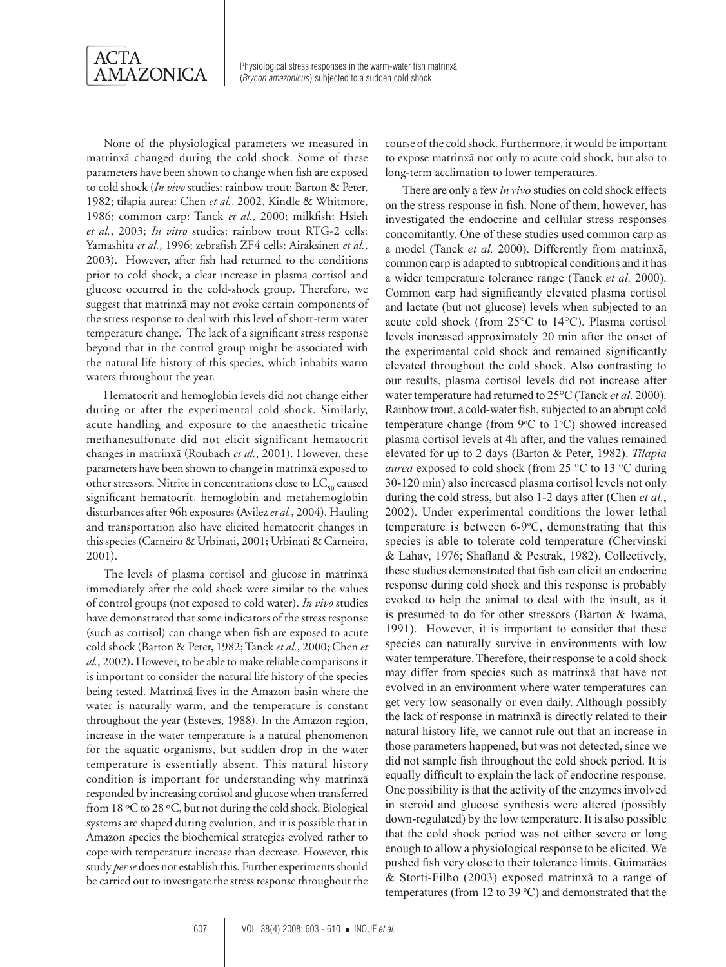

None of the physiological parameters we measured in matrinxã changed during the cold shock. Some of these parameters have been shown to change when fish are exposed to cold shock (*In vivo* studies: rainbow trout: Barton & Peter, 1982; tilapia aurea: Chen *et al.*, 2002, Kindle & Whitmore, 1986; common carp: Tanck *et al.*, 2000; milkfish: Hsieh *et al.*, 2003; *In vitro* studies: rainbow trout RTG-2 cells: Yamashita *et al.*, 1996; zebrafish ZF4 cells: Airaksinen *et al.*, 2003). However, after fish had returned to the conditions prior to cold shock, a clear increase in plasma cortisol and glucose occurred in the cold-shock group. Therefore, we suggest that matrinxã may not evoke certain components of the stress response to deal with this level of short-term water temperature change. The lack of a significant stress response beyond that in the control group might be associated with the natural life history of this species, which inhabits warm waters throughout the year.

Hematocrit and hemoglobin levels did not change either during or after the experimental cold shock. Similarly, acute handling and exposure to the anaesthetic tricaine methanesulfonate did not elicit significant hematocrit changes in matrinxã (Roubach *et al.*, 2001). However, these parameters have been shown to change in matrinxã exposed to other stressors. Nitrite in concentrations close to  $LC_{50}$  caused significant hematocrit, hemoglobin and metahemoglobin disturbances after 96h exposures (Avilez *et al.*, 2004). Hauling and transportation also have elicited hematocrit changes in this species (Carneiro & Urbinati, 2001; Urbinati & Carneiro, 2001).

The levels of plasma cortisol and glucose in matrinxã immediately after the cold shock were similar to the values of control groups (not exposed to cold water). *In vivo* studies have demonstrated that some indicators of the stress response (such as cortisol) can change when fish are exposed to acute cold shock (Barton & Peter, 1982; Tanck *et al.*, 2000; Chen *et al.*, 2002)**.** However, to be able to make reliable comparisons it is important to consider the natural life history of the species being tested. Matrinxã lives in the Amazon basin where the water is naturally warm, and the temperature is constant throughout the year (Esteves, 1988). In the Amazon region, increase in the water temperature is a natural phenomenon for the aquatic organisms, but sudden drop in the water temperature is essentially absent. This natural history condition is important for understanding why matrinxã responded by increasing cortisol and glucose when transferred from 18 ºC to 28 ºC, but not during the cold shock. Biological systems are shaped during evolution, and it is possible that in Amazon species the biochemical strategies evolved rather to cope with temperature increase than decrease. However, this study *per se* does not establish this. Further experiments should be carried out to investigate the stress response throughout the

course of the cold shock. Furthermore, it would be important to expose matrinxã not only to acute cold shock, but also to long-term acclimation to lower temperatures.

There are only a few *in vivo* studies on cold shock effects on the stress response in fish. None of them, however, has investigated the endocrine and cellular stress responses concomitantly. One of these studies used common carp as a model (Tanck *et al.* 2000). Differently from matrinxã, common carp is adapted to subtropical conditions and it has a wider temperature tolerance range (Tanck *et al.* 2000). Common carp had significantly elevated plasma cortisol and lactate (but not glucose) levels when subjected to an acute cold shock (from 25°C to 14°C). Plasma cortisol levels increased approximately 20 min after the onset of the experimental cold shock and remained significantly elevated throughout the cold shock. Also contrasting to our results, plasma cortisol levels did not increase after water temperature had returned to 25°C (Tanck *et al.* 2000). Rainbow trout, a cold-water fish, subjected to an abrupt cold temperature change (from  $9^{\circ}C$  to  $1^{\circ}C$ ) showed increased plasma cortisol levels at 4h after, and the values remained elevated for up to 2 days (Barton & Peter, 1982). *Tilapia aurea* exposed to cold shock (from 25 °C to 13 °C during 30-120 min) also increased plasma cortisol levels not only during the cold stress, but also 1-2 days after (Chen *et al.*, 2002). Under experimental conditions the lower lethal temperature is between  $6\n-9\n-°C$ , demonstrating that this species is able to tolerate cold temperature (Chervinski & Lahav, 1976; Shafland & Pestrak, 1982). Collectively, these studies demonstrated that fish can elicit an endocrine response during cold shock and this response is probably evoked to help the animal to deal with the insult, as it is presumed to do for other stressors (Barton & Iwama, 1991). However, it is important to consider that these species can naturally survive in environments with low water temperature. Therefore, their response to a cold shock may differ from species such as matrinxã that have not evolved in an environment where water temperatures can get very low seasonally or even daily. Although possibly the lack of response in matrinxã is directly related to their natural history life, we cannot rule out that an increase in those parameters happened, but was not detected, since we did not sample fish throughout the cold shock period. It is equally difficult to explain the lack of endocrine response. One possibility is that the activity of the enzymes involved in steroid and glucose synthesis were altered (possibly down-regulated) by the low temperature. It is also possible that the cold shock period was not either severe or long enough to allow a physiological response to be elicited. We pushed fish very close to their tolerance limits. Guimarães & Storti-Filho (2003) exposed matrinxã to a range of temperatures (from 12 to 39  $\degree$ C) and demonstrated that the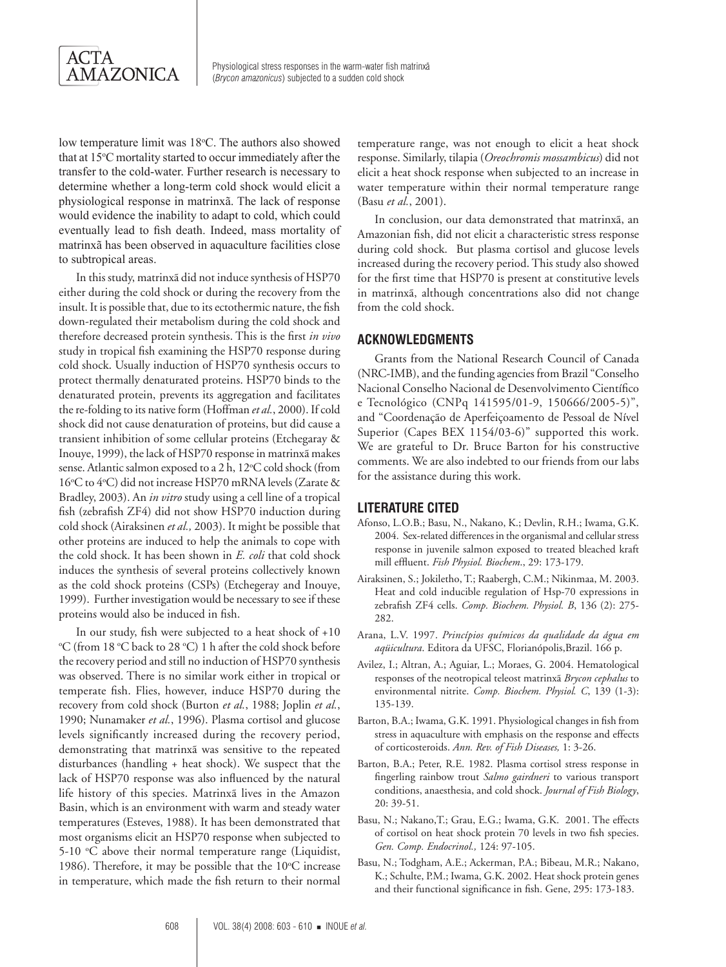

low temperature limit was 18°C. The authors also showed that at 15°C mortality started to occur immediately after the transfer to the cold-water. Further research is necessary to determine whether a long-term cold shock would elicit a physiological response in matrinxã. The lack of response would evidence the inability to adapt to cold, which could eventually lead to fish death. Indeed, mass mortality of matrinxã has been observed in aquaculture facilities close to subtropical areas.

In this study, matrinxã did not induce synthesis of HSP70 either during the cold shock or during the recovery from the insult. It is possible that, due to its ectothermic nature, the fish down-regulated their metabolism during the cold shock and therefore decreased protein synthesis. This is the first *in vivo* study in tropical fish examining the HSP70 response during cold shock. Usually induction of HSP70 synthesis occurs to protect thermally denaturated proteins. HSP70 binds to the denaturated protein, prevents its aggregation and facilitates the re-folding to its native form (Hoffman *et al.*, 2000). If cold shock did not cause denaturation of proteins, but did cause a transient inhibition of some cellular proteins (Etchegaray & Inouye, 1999), the lack of HSP70 response in matrinxã makes sense. Atlantic salmon exposed to a 2 h, 12°C cold shock (from 16°C to 4°C) did not increase HSP70 mRNA levels (Zarate & Bradley, 2003). An *in vitro* study using a cell line of a tropical fish (zebrafish ZF4) did not show HSP70 induction during cold shock (Airaksinen *et al.,* 2003). It might be possible that other proteins are induced to help the animals to cope with the cold shock. It has been shown in *E. coli* that cold shock induces the synthesis of several proteins collectively known as the cold shock proteins (CSPs) (Etchegeray and Inouye, 1999). Further investigation would be necessary to see if these proteins would also be induced in fish.

In our study, fish were subjected to a heat shock of  $+10$ C (from 18 °C back to 28 °C) 1 h after the cold shock before the recovery period and still no induction of HSP70 synthesis was observed. There is no similar work either in tropical or temperate fish. Flies, however, induce HSP70 during the recovery from cold shock (Burton *et al.*, 1988; Joplin *et al.*, 1990; Nunamaker *et al.*, 1996). Plasma cortisol and glucose levels significantly increased during the recovery period, demonstrating that matrinxã was sensitive to the repeated disturbances (handling + heat shock). We suspect that the lack of HSP70 response was also influenced by the natural life history of this species. Matrinxã lives in the Amazon Basin, which is an environment with warm and steady water temperatures (Esteves, 1988). It has been demonstrated that most organisms elicit an HSP70 response when subjected to 5-10 °C above their normal temperature range (Liquidist, 1986). Therefore, it may be possible that the  $10^{\circ}$ C increase in temperature, which made the fish return to their normal

temperature range, was not enough to elicit a heat shock response. Similarly, tilapia (*Oreochromis mossambicus*) did not elicit a heat shock response when subjected to an increase in water temperature within their normal temperature range (Basu *et al.*, 2001).

In conclusion, our data demonstrated that matrinxã, an Amazonian fish, did not elicit a characteristic stress response during cold shock. But plasma cortisol and glucose levels increased during the recovery period. This study also showed for the first time that HSP70 is present at constitutive levels in matrinxã, although concentrations also did not change from the cold shock.

## **Acknowledgments**

Grants from the National Research Council of Canada (NRC-IMB), and the funding agencies from Brazil "Conselho Nacional Conselho Nacional de Desenvolvimento Científico e Tecnológico (CNPq 141595/01-9, 150666/2005-5)", and "Coordenação de Aperfeiçoamento de Pessoal de Nível Superior (Capes BEX 1154/03-6)" supported this work. We are grateful to Dr. Bruce Barton for his constructive comments. We are also indebted to our friends from our labs for the assistance during this work.

## **literature cited**

- Afonso, L.O.B.; Basu, N., Nakano, K.; Devlin, R.H.; Iwama, G.K. 2004. Sex-related differences in the organismal and cellular stress response in juvenile salmon exposed to treated bleached kraft mill effluent. *Fish Physiol. Biochem*., 29: 173-179.
- Airaksinen, S.; Jokiletho, T.; Raabergh, C.M.; Nikinmaa, M. 2003. Heat and cold inducible regulation of Hsp-70 expressions in zebrafish ZF4 cells. *Comp. Biochem. Physiol. B*, 136 (2): 275- 282.
- Arana, L.V. 1997. *Princípios químicos da qualidade da água em aqüicultura*. Editora da UFSC, Florianópolis,Brazil. 166 p.
- Avilez, I.; Altran, A.; Aguiar, L.; Moraes, G. 2004. Hematological responses of the neotropical teleost matrinxã *Brycon cephalus* to environmental nitrite. *Comp. Biochem. Physiol. C*, 139 (1-3): 135-139.
- Barton, B.A.; Iwama, G.K. 1991. Physiological changes in fish from stress in aquaculture with emphasis on the response and effects of corticosteroids. *Ann. Rev. of Fish Diseases,* 1: 3-26.
- Barton, B.A.; Peter, R.E. 1982. Plasma cortisol stress response in fingerling rainbow trout *Salmo gairdneri* to various transport conditions, anaesthesia, and cold shock. *Journal of Fish Biology*, 20: 39-51.
- Basu, N.; Nakano,T.; Grau, E.G.; Iwama, G.K. 2001. The effects of cortisol on heat shock protein 70 levels in two fish species. *Gen. Comp. Endocrinol.,* 124: 97-105.
- Basu, N.; Todgham, A.E.; Ackerman, P.A.; Bibeau, M.R.; Nakano, K.; Schulte, P.M.; Iwama, G.K. 2002. Heat shock protein genes and their functional significance in fish. Gene, 295: 173-183.